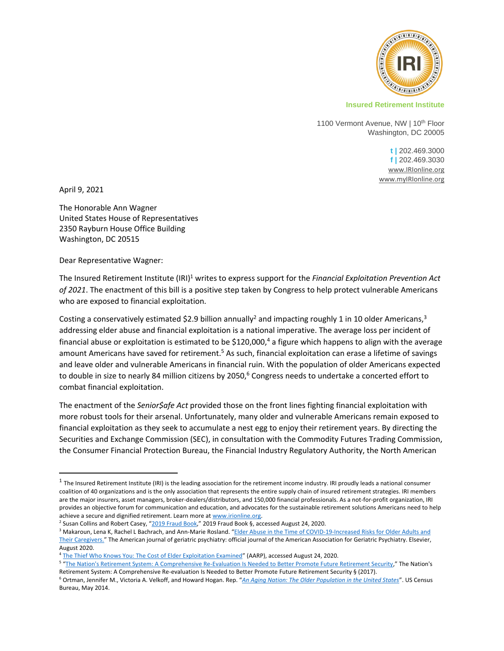

## **Insured Retirement Institute**

1100 Vermont Avenue, NW | 10<sup>th</sup> Floor Washington, DC 20005

> **t |** 202.469.3000 **f |** 202.469.3030 [www.IRIonline.org](http://www.irionline.org/) [www.myIRIonline.org](http://www.myirionline.org/)

April 9, 2021

The Honorable Ann Wagner United States House of Representatives 2350 Rayburn House Office Building Washington, DC 20515

Dear Representative Wagner:

The Insured Retirement Institute (IRI)<sup>1</sup> writes to express support for the *Financial Exploitation Prevention Act of 2021*. The enactment of this bill is a positive step taken by Congress to help protect vulnerable Americans who are exposed to financial exploitation.

Costing a conservatively estimated \$2.9 billion annually<sup>2</sup> and impacting roughly 1 in 10 older Americans,<sup>3</sup> addressing elder abuse and financial exploitation is a national imperative. The average loss per incident of financial abuse or exploitation is estimated to be \$120,000,<sup>4</sup> a figure which happens to align with the average amount Americans have saved for retirement.<sup>5</sup> As such, financial exploitation can erase a lifetime of savings and leave older and vulnerable Americans in financial ruin. With the population of older Americans expected to double in size to nearly 84 million citizens by 2050, $6$  Congress needs to undertake a concerted effort to combat financial exploitation.

The enactment of the *Senior\$afe Act* provided those on the front lines fighting financial exploitation with more robust tools for their arsenal. Unfortunately, many older and vulnerable Americans remain exposed to financial exploitation as they seek to accumulate a nest egg to enjoy their retirement years. By directing the Securities and Exchange Commission (SEC), in consultation with the Commodity Futures Trading Commission, the Consumer Financial Protection Bureau, the Financial Industry Regulatory Authority, the North American

 $^1$  The Insured Retirement Institute (IRI) is the leading association for the retirement income industry. IRI proudly leads a national consumer coalition of 40 organizations and is the only association that represents the entire supply chain of insured retirement strategies. IRI members are the major insurers, asset managers, broker-dealers/distributors, and 150,000 financial professionals. As a not-for-profit organization, IRI provides an objective forum for communication and education, and advocates for the sustainable retirement solutions Americans need to help achieve a secure and dignified retirement. Learn more a[t www.irionline.org.](http://www.irionline.org/)

<sup>&</sup>lt;sup>2</sup> Susan Collins and Robert Casey, "<u>[2019 Fraud Book](https://www.collins.senate.gov/sites/default/files/2019%20Fraud%20Book.pdf.)</u>," 2019 Fraud Book §, accessed August 24, 2020.

<sup>&</sup>lt;sup>3</sup> Makaroun, Lena K, Rachel L Bachrach, and Ann-Marie Rosland. "Elder Abuse in the Time of COVID-19-Increased Risks for Older Adults and [Their Caregivers.](https://www.ncbi.nlm.nih.gov/pmc/articles/PMC7234937/)" The American journal of geriatric psychiatry: official journal of the American Association for Geriatric Psychiatry. Elsevier, August 2020.

<sup>&</sup>lt;sup>4</sup> [The Thief Who Knows You: The Cost of Elder Exploitation Examined](https://www.aarp.org/ppi/info-2020/the-thief-who-knows-you-the-cost-of-elder-exploitation-examined.html)" (AARP), accessed August 24, 2020.

<sup>&</sup>lt;sup>5</sup> "<u>[The Nation's Retirement System: A Comprehensive Re-Evaluation Is Needed to Better Promote Future Retirement Security](https://www.gao.gov/assets/gao-18-111sp.pdf)</u>" The Nation's Retirement System: A Comprehensive Re-evaluation Is Needed to Better Promote Future Retirement Security § (2017).

<sup>6</sup> Ortman, Jennifer M., Victoria A. Velkoff, and Howard Hogan. Rep. "*[An Aging Nation: The Older Population in the United States](https://www.census.gov/prod/2014pubs/p25-1140.pdf)*". US Census Bureau, May 2014.